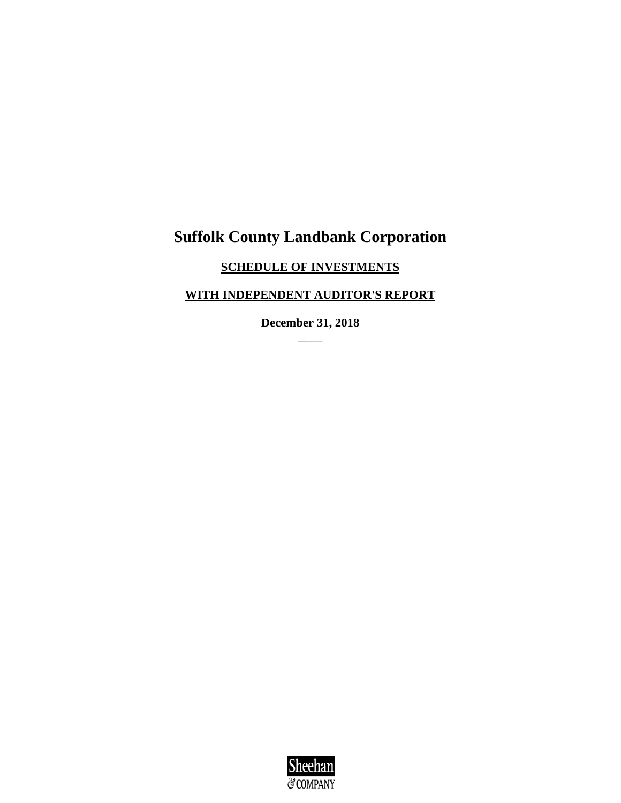## **SCHEDULE OF INVESTMENTS**

## **WITH INDEPENDENT AUDITOR'S REPORT**

**December 31, 2018**  $\overline{\phantom{a}}$ 

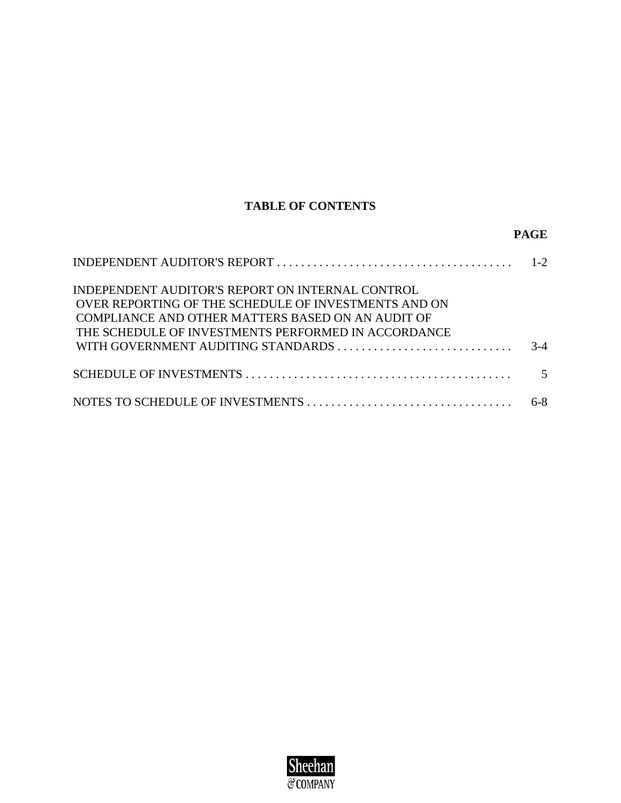#### **TABLE OF CONTENTS**

**PAGE**

# INDEPENDENT AUDITOR'S REPORT . . . . . . . . . . . . . . . . . . . . . . . . . . . . . . . . . . . . . . . 1-2 INDEPENDENT AUDITOR'S REPORT ON INTERNAL CONTROL OVER REPORTING OF THE SCHEDULE OF INVESTMENTS AND ON COMPLIANCE AND OTHER MATTERS BASED ON AN AUDIT OF THE SCHEDULE OF INVESTMENTS PERFORMED IN ACCORDANCE WITH GOVERNMENT AUDITING STANDARDS . . . . . . . . . . . . . . . . . . . . . . . . . . . . . 3-4 SCHEDULE OF INVESTMENTS . . . . . . . . . . . . . . . . . . . . . . . . . . . . . . . . . . . . . . . . . . . . 5 NOTES TO SCHEDULE OF INVESTMENTS . . . . . . . . . . . . . . . . . . . . . . . . . . . . . . . . . . 6-8

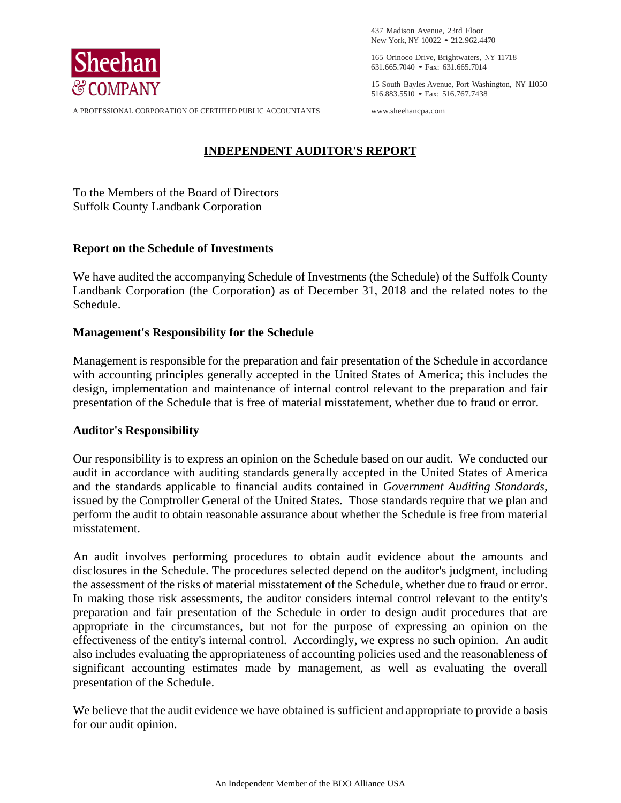

 437 Madison Avenue, 23rd Floor New York, NY <sup>10022</sup> • 212.962.4470

 $S$ **hee han**  $\sum_{631.665.7040}^{165 \text{ Orinoco Drive, Brightwaters, NY 11718}}$ 631.665.7040 • Fax: 631.665.7014

 $\mathbb{C}^3$  COMPANY 11050 516.883.5510 • Fax: 516.767.7438

A PROFESSIONAL CORPORATION OF CERTIFIED PUBLIC ACCOUNTANTS [www.sheehancpa.com](http://www.sheehancpa.com/)

#### **INDEPENDENT AUDITOR'S REPORT**

To the Members of the Board of Directors Suffolk County Landbank Corporation

#### **Report on the Schedule of Investments**

We have audited the accompanying Schedule of Investments (the Schedule) of the Suffolk County Landbank Corporation (the Corporation) as of December 31, 2018 and the related notes to the Schedule.

#### **Management's Responsibility for the Schedule**

Management is responsible for the preparation and fair presentation of the Schedule in accordance with accounting principles generally accepted in the United States of America; this includes the design, implementation and maintenance of internal control relevant to the preparation and fair presentation of the Schedule that is free of material misstatement, whether due to fraud or error.

#### **Auditor's Responsibility**

Our responsibility is to express an opinion on the Schedule based on our audit. We conducted our audit in accordance with auditing standards generally accepted in the United States of America and the standards applicable to financial audits contained in *Government Auditing Standards*, issued by the Comptroller General of the United States. Those standards require that we plan and perform the audit to obtain reasonable assurance about whether the Schedule is free from material misstatement.

An audit involves performing procedures to obtain audit evidence about the amounts and disclosures in the Schedule. The procedures selected depend on the auditor's judgment, including the assessment of the risks of material misstatement of the Schedule, whether due to fraud or error. In making those risk assessments, the auditor considers internal control relevant to the entity's preparation and fair presentation of the Schedule in order to design audit procedures that are appropriate in the circumstances, but not for the purpose of expressing an opinion on the effectiveness of the entity's internal control. Accordingly, we express no such opinion. An audit also includes evaluating the appropriateness of accounting policies used and the reasonableness of significant accounting estimates made by management, as well as evaluating the overall presentation of the Schedule.

We believe that the audit evidence we have obtained is sufficient and appropriate to provide a basis for our audit opinion.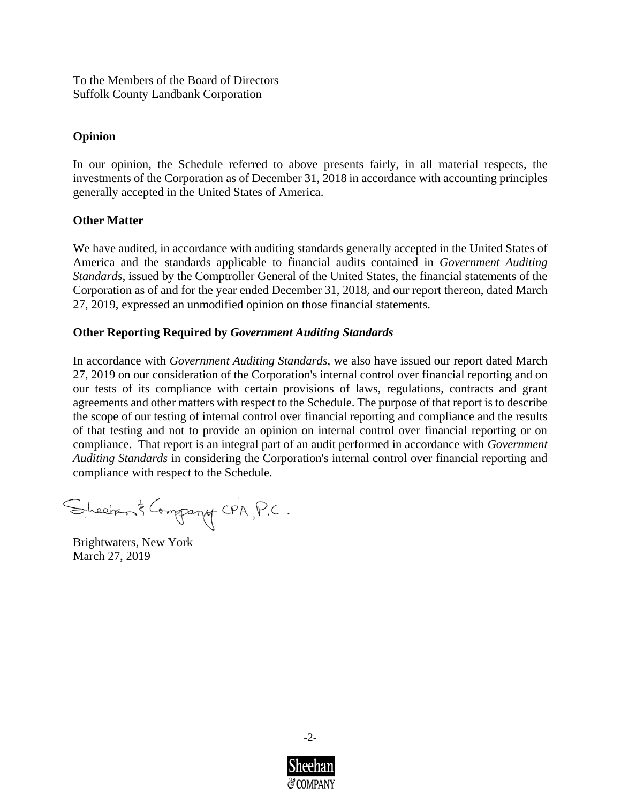To the Members of the Board of Directors Suffolk County Landbank Corporation

#### **Opinion**

In our opinion, the Schedule referred to above presents fairly, in all material respects, the investments of the Corporation as of December 31, 2018 in accordance with accounting principles generally accepted in the United States of America.

#### **Other Matter**

We have audited, in accordance with auditing standards generally accepted in the United States of America and the standards applicable to financial audits contained in *Government Auditing Standards,* issued by the Comptroller General of the United States, the financial statements of the Corporation as of and for the year ended December 31, 2018, and our report thereon, dated March 27, 2019, expressed an unmodified opinion on those financial statements.

#### **Other Reporting Required by** *Government Auditing Standards*

In accordance with *Government Auditing Standards*, we also have issued our report dated March 27, 2019 on our consideration of the Corporation's internal control over financial reporting and on our tests of its compliance with certain provisions of laws, regulations, contracts and grant agreements and other matters with respect to the Schedule. The purpose of that report is to describe the scope of our testing of internal control over financial reporting and compliance and the results of that testing and not to provide an opinion on internal control over financial reporting or on compliance. That report is an integral part of an audit performed in accordance with *Government Auditing Standards* in considering the Corporation's internal control over financial reporting and compliance with respect to the Schedule.

Sheeher & Company CPA, P.C.

Brightwaters, New York March 27, 2019

-2-

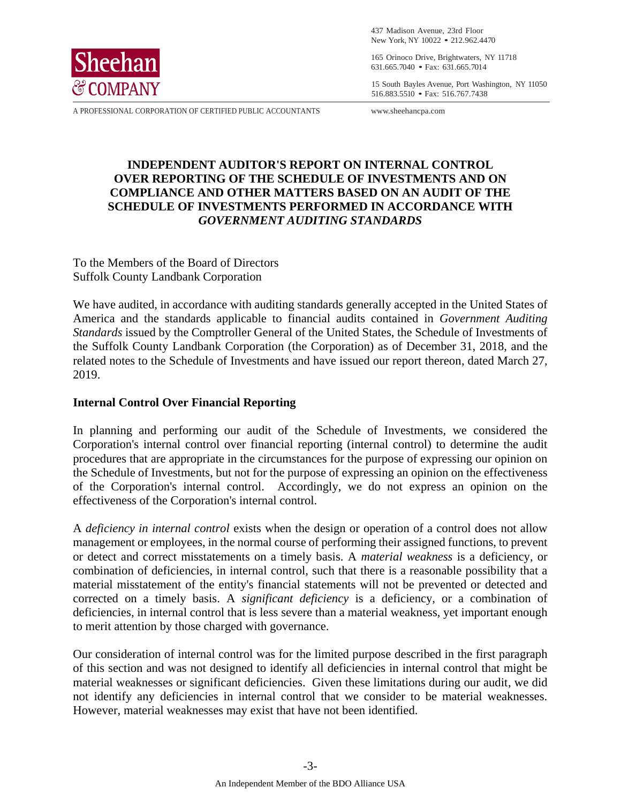

 437 Madison Avenue, 23rd Floor New York, NY <sup>10022</sup> • 212.962.4470

**Sheehan** 165 Orinoco Drive, Brightwaters, NY 11718<br>631.665.7040 • Fax: 631.665.7014 631.665.7040 • Fax: 631.665.7014

 $\mathbb{C}^3$  COMPANY 11050 516.883.5510 • Fax: 516.767.7438

A PROFESSIONAL CORPORATION OF CERTIFIED PUBLIC ACCOUNTANTS [www.sheehancpa.com](http://www.sheehancpa.com/)

#### **INDEPENDENT AUDITOR'S REPORT ON INTERNAL CONTROL OVER REPORTING OF THE SCHEDULE OF INVESTMENTS AND ON COMPLIANCE AND OTHER MATTERS BASED ON AN AUDIT OF THE SCHEDULE OF INVESTMENTS PERFORMED IN ACCORDANCE WITH**  *GOVERNMENT AUDITING STANDARDS*

To the Members of the Board of Directors Suffolk County Landbank Corporation

We have audited, in accordance with auditing standards generally accepted in the United States of America and the standards applicable to financial audits contained in *Government Auditing Standards* issued by the Comptroller General of the United States, the Schedule of Investments of the Suffolk County Landbank Corporation (the Corporation) as of December 31, 2018, and the related notes to the Schedule of Investments and have issued our report thereon, dated March 27, 2019.

#### **Internal Control Over Financial Reporting**

In planning and performing our audit of the Schedule of Investments, we considered the Corporation's internal control over financial reporting (internal control) to determine the audit procedures that are appropriate in the circumstances for the purpose of expressing our opinion on the Schedule of Investments, but not for the purpose of expressing an opinion on the effectiveness of the Corporation's internal control. Accordingly, we do not express an opinion on the effectiveness of the Corporation's internal control.

A *deficiency in internal control* exists when the design or operation of a control does not allow management or employees, in the normal course of performing their assigned functions, to prevent or detect and correct misstatements on a timely basis. A *material weakness* is a deficiency, or combination of deficiencies, in internal control, such that there is a reasonable possibility that a material misstatement of the entity's financial statements will not be prevented or detected and corrected on a timely basis. A *significant deficiency* is a deficiency, or a combination of deficiencies, in internal control that is less severe than a material weakness, yet important enough to merit attention by those charged with governance.

Our consideration of internal control was for the limited purpose described in the first paragraph of this section and was not designed to identify all deficiencies in internal control that might be material weaknesses or significant deficiencies. Given these limitations during our audit, we did not identify any deficiencies in internal control that we consider to be material weaknesses. However, material weaknesses may exist that have not been identified.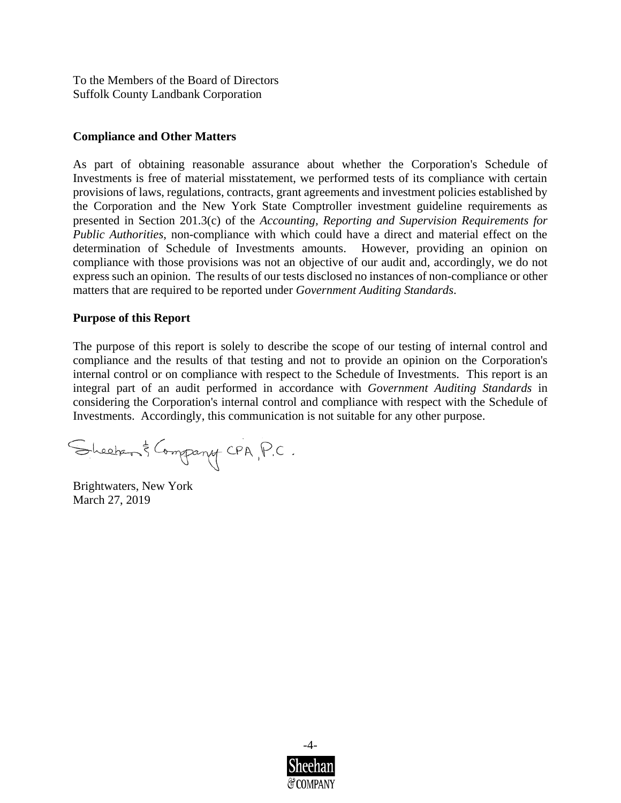To the Members of the Board of Directors Suffolk County Landbank Corporation

#### **Compliance and Other Matters**

As part of obtaining reasonable assurance about whether the Corporation's Schedule of Investments is free of material misstatement, we performed tests of its compliance with certain provisions of laws, regulations, contracts, grant agreements and investment policies established by the Corporation and the New York State Comptroller investment guideline requirements as presented in Section 201.3(c) of the *Accounting, Reporting and Supervision Requirements for Public Authorities*, non-compliance with which could have a direct and material effect on the determination of Schedule of Investments amounts. However, providing an opinion on compliance with those provisions was not an objective of our audit and, accordingly, we do not express such an opinion. The results of our tests disclosed no instances of non-compliance or other matters that are required to be reported under *Government Auditing Standards*.

#### **Purpose of this Report**

The purpose of this report is solely to describe the scope of our testing of internal control and compliance and the results of that testing and not to provide an opinion on the Corporation's internal control or on compliance with respect to the Schedule of Investments. This report is an integral part of an audit performed in accordance with *Government Auditing Standards* in considering the Corporation's internal control and compliance with respect with the Schedule of Investments. Accordingly, this communication is not suitable for any other purpose.

Sheehers (ompany CPA, P.C.

Brightwaters, New York March 27, 2019

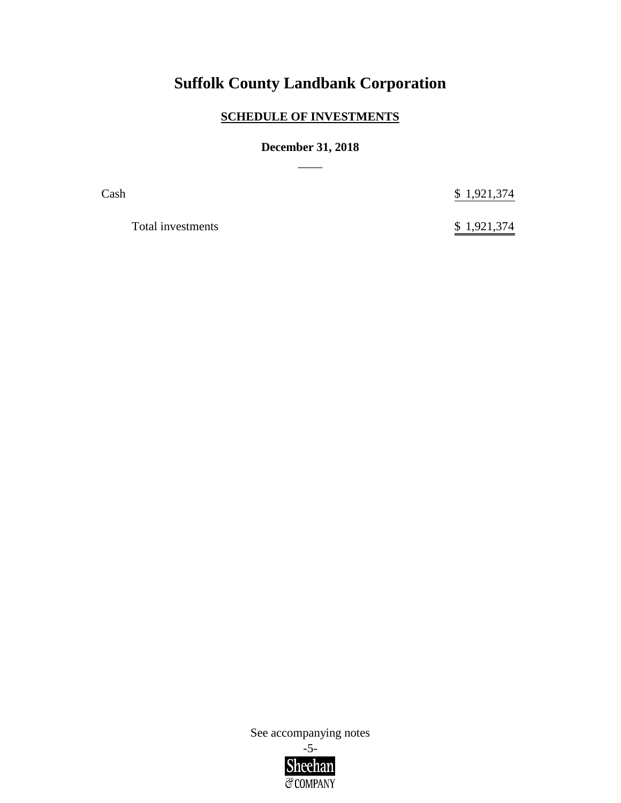#### **SCHEDULE OF INVESTMENTS**

## **December 31, 2018**  $\overline{\phantom{a}}$

| Cash              | \$1,921,374 |
|-------------------|-------------|
| Total investments | \$1,921,374 |

See accompanying notes  $-5-$ **Sheehan &COMPANY**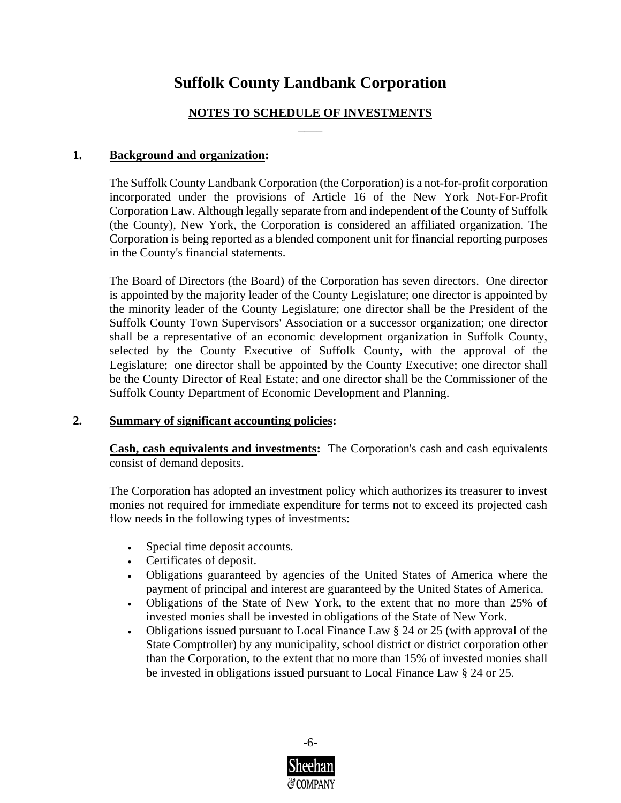#### **NOTES TO SCHEDULE OF INVESTMENTS** \_\_\_\_

#### **1. Background and organization:**

The Suffolk County Landbank Corporation (the Corporation) is a not-for-profit corporation incorporated under the provisions of Article 16 of the New York Not-For-Profit Corporation Law. Although legally separate from and independent of the County of Suffolk (the County), New York, the Corporation is considered an affiliated organization. The Corporation is being reported as a blended component unit for financial reporting purposes in the County's financial statements.

The Board of Directors (the Board) of the Corporation has seven directors. One director is appointed by the majority leader of the County Legislature; one director is appointed by the minority leader of the County Legislature; one director shall be the President of the Suffolk County Town Supervisors' Association or a successor organization; one director shall be a representative of an economic development organization in Suffolk County, selected by the County Executive of Suffolk County, with the approval of the Legislature; one director shall be appointed by the County Executive; one director shall be the County Director of Real Estate; and one director shall be the Commissioner of the Suffolk County Department of Economic Development and Planning.

#### **2. Summary of significant accounting policies:**

**Cash, cash equivalents and investments:** The Corporation's cash and cash equivalents consist of demand deposits.

The Corporation has adopted an investment policy which authorizes its treasurer to invest monies not required for immediate expenditure for terms not to exceed its projected cash flow needs in the following types of investments:

- Special time deposit accounts.
- Certificates of deposit.
- Obligations guaranteed by agencies of the United States of America where the payment of principal and interest are guaranteed by the United States of America.
- Obligations of the State of New York, to the extent that no more than 25% of invested monies shall be invested in obligations of the State of New York.
- Obligations issued pursuant to Local Finance Law § 24 or 25 (with approval of the State Comptroller) by any municipality, school district or district corporation other than the Corporation, to the extent that no more than 15% of invested monies shall be invested in obligations issued pursuant to Local Finance Law § 24 or 25.

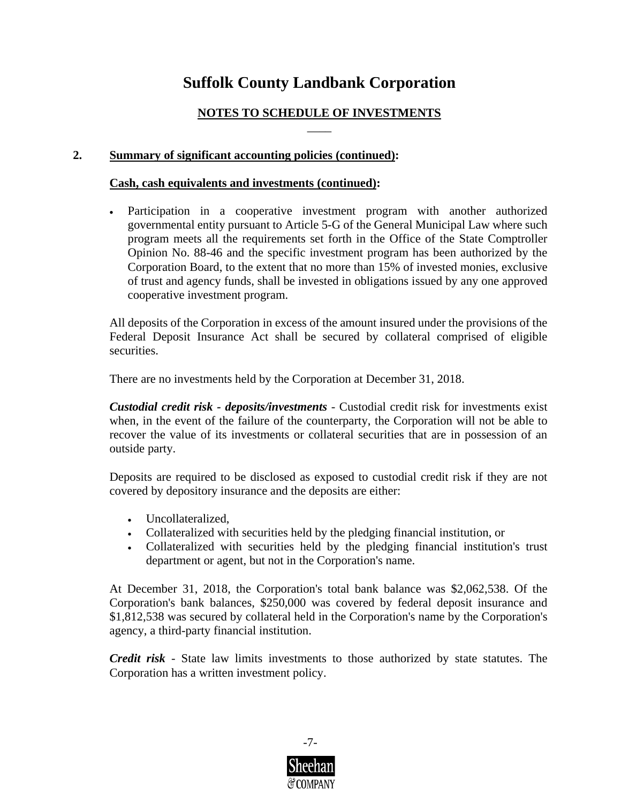#### **NOTES TO SCHEDULE OF INVESTMENTS** \_\_\_\_

## **2. Summary of significant accounting policies (continued):**

#### **Cash, cash equivalents and investments (continued):**

• Participation in a cooperative investment program with another authorized governmental entity pursuant to Article 5-G of the General Municipal Law where such program meets all the requirements set forth in the Office of the State Comptroller Opinion No. 88-46 and the specific investment program has been authorized by the Corporation Board, to the extent that no more than 15% of invested monies, exclusive of trust and agency funds, shall be invested in obligations issued by any one approved cooperative investment program.

All deposits of the Corporation in excess of the amount insured under the provisions of the Federal Deposit Insurance Act shall be secured by collateral comprised of eligible securities.

There are no investments held by the Corporation at December 31, 2018.

*Custodial credit risk - deposits/investments* - Custodial credit risk for investments exist when, in the event of the failure of the counterparty, the Corporation will not be able to recover the value of its investments or collateral securities that are in possession of an outside party.

Deposits are required to be disclosed as exposed to custodial credit risk if they are not covered by depository insurance and the deposits are either:

- Uncollateralized,
- Collateralized with securities held by the pledging financial institution, or
- Collateralized with securities held by the pledging financial institution's trust department or agent, but not in the Corporation's name.

At December 31, 2018, the Corporation's total bank balance was \$2,062,538. Of the Corporation's bank balances, \$250,000 was covered by federal deposit insurance and \$1,812,538 was secured by collateral held in the Corporation's name by the Corporation's agency, a third-party financial institution.

*Credit risk* - State law limits investments to those authorized by state statutes. The Corporation has a written investment policy.